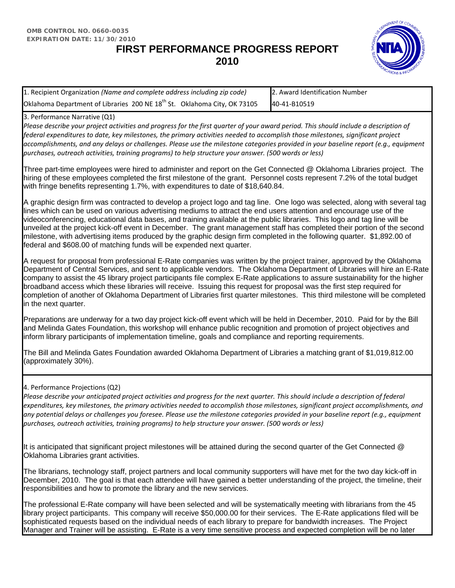## **FIRST PERFORMANCE PROGRESS REPORT 2010**



| 1. Recipient Organization (Name and complete address including zip code)             | 2. Award Identification Number |
|--------------------------------------------------------------------------------------|--------------------------------|
| Oklahoma Department of Libraries 200 NE 18 <sup>th</sup> St. Oklahoma City, OK 73105 | 40-41-B10519                   |

## 3. Performance Narrative (Q1)

Please describe your project activities and progress for the first quarter of your award period. This should include a description of *federal expenditures to date, key milestones, the primary activities needed to accomplish those milestones, significant project accomplishments, and any delays or challenges. Please use the milestone categories provided in your baseline report (e.g., equipment purchases, outreach activities, training programs) to help structure your answer. (500 words or less)* 

Three part-time employees were hired to administer and report on the Get Connected @ Oklahoma Libraries project. The hiring of these employees completed the first milestone of the grant. Personnel costs represent 7.2% of the total budget with fringe benefits representing 1.7%, with expenditures to date of \$18,640.84.

A graphic design firm was contracted to develop a project logo and tag line. One logo was selected, along with several tag lines which can be used on various advertising mediums to attract the end users attention and encourage use of the videoconferencing, educational data bases, and training available at the public libraries. This logo and tag line will be unveiled at the project kick-off event in December. The grant management staff has completed their portion of the second milestone, with advertising items produced by the graphic design firm completed in the following quarter. \$1,892.00 of federal and \$608.00 of matching funds will be expended next quarter.

A request for proposal from professional E-Rate companies was written by the project trainer, approved by the Oklahoma Department of Central Services, and sent to applicable vendors. The Oklahoma Department of Libraries will hire an E-Rate company to assist the 45 library project participants file complex E-Rate applications to assure sustainability for the higher broadband access which these libraries will receive. Issuing this request for proposal was the first step required for completion of another of Oklahoma Department of Libraries first quarter milestones. This third milestone will be completed in the next quarter.

Preparations are underway for a two day project kick-off event which will be held in December, 2010. Paid for by the Bill and Melinda Gates Foundation, this workshop will enhance public recognition and promotion of project objectives and inform library participants of implementation timeline, goals and compliance and reporting requirements.

The Bill and Melinda Gates Foundation awarded Oklahoma Department of Libraries a matching grant of \$1,019,812.00 (approximately 30%).

## 4. Performance Projections (Q2)

*Please describe your anticipated project activities and progress for the next quarter. This should include a description of federal expenditures, key milestones, the primary activities needed to accomplish those milestones, significant project accomplishments, and any potential delays or challenges you foresee. Please use the milestone categories provided in your baseline report (e.g., equipment purchases, outreach activities, training programs) to help structure your answer. (500 words or less)*

It is anticipated that significant project milestones will be attained during the second quarter of the Get Connected @ Oklahoma Libraries grant activities.

The librarians, technology staff, project partners and local community supporters will have met for the two day kick-off in December, 2010. The goal is that each attendee will have gained a better understanding of the project, the timeline, their responsibilities and how to promote the library and the new services.

The professional E-Rate company will have been selected and will be systematically meeting with librarians from the 45 library project participants. This company will receive \$50,000.00 for their services. The E-Rate applications filed will be sophisticated requests based on the individual needs of each library to prepare for bandwidth increases. The Project Manager and Trainer will be assisting. E-Rate is a very time sensitive process and expected completion will be no later